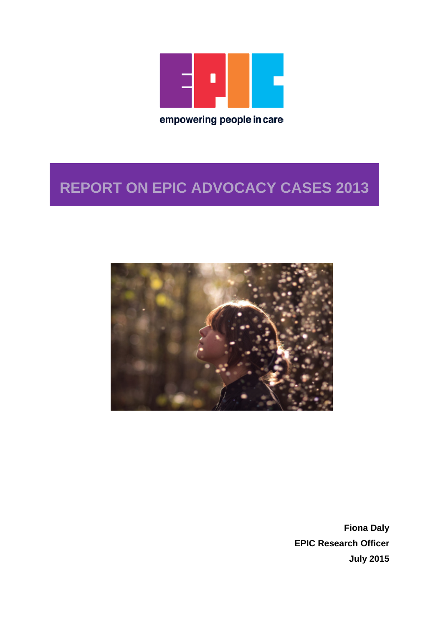

# **REPORT ON EPIC ADVOCACY CASES 2013**



**Fiona Daly EPIC Research Officer July 2015**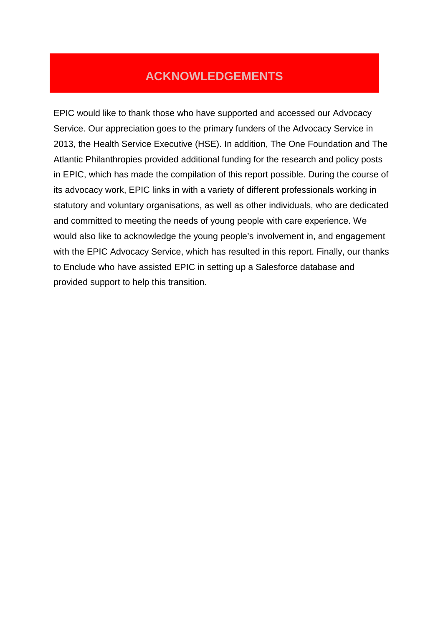## **ACKNOWLEDGEMENTS**

EPIC would like to thank those who have supported and accessed our Advocacy Service. Our appreciation goes to the primary funders of the Advocacy Service in 2013, the Health Service Executive (HSE). In addition, The One Foundation and The Atlantic Philanthropies provided additional funding for the research and policy posts in EPIC, which has made the compilation of this report possible. During the course of its advocacy work, EPIC links in with a variety of different professionals working in statutory and voluntary organisations, as well as other individuals, who are dedicated and committed to meeting the needs of young people with care experience. We would also like to acknowledge the young people's involvement in, and engagement with the EPIC Advocacy Service, which has resulted in this report. Finally, our thanks to Enclude who have assisted EPIC in setting up a Salesforce database and provided support to help this transition.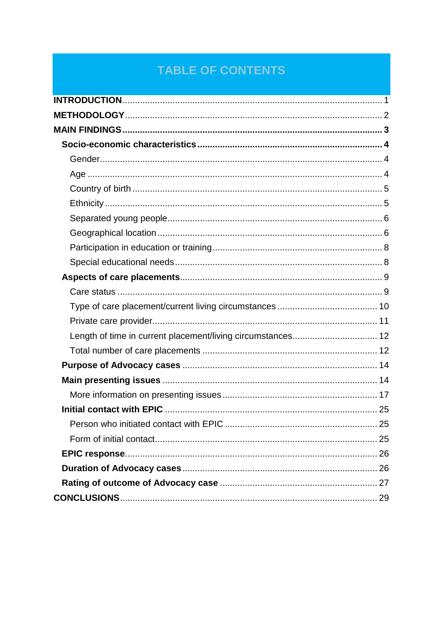## **TABLE OF CONTENTS**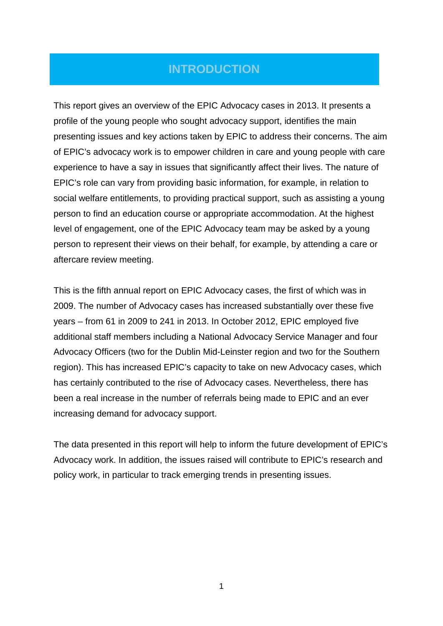### <span id="page-3-0"></span>**INTRODUCTION**

This report gives an overview of the EPIC Advocacy cases in 2013. It presents a profile of the young people who sought advocacy support, identifies the main presenting issues and key actions taken by EPIC to address their concerns. The aim of EPIC's advocacy work is to empower children in care and young people with care experience to have a say in issues that significantly affect their lives. The nature of EPIC's role can vary from providing basic information, for example, in relation to social welfare entitlements, to providing practical support, such as assisting a young person to find an education course or appropriate accommodation. At the highest level of engagement, one of the EPIC Advocacy team may be asked by a young person to represent their views on their behalf, for example, by attending a care or aftercare review meeting.

This is the fifth annual report on EPIC Advocacy cases, the first of which was in 2009. The number of Advocacy cases has increased substantially over these five years – from 61 in 2009 to 241 in 2013. In October 2012, EPIC employed five additional staff members including a National Advocacy Service Manager and four Advocacy Officers (two for the Dublin Mid-Leinster region and two for the Southern region). This has increased EPIC's capacity to take on new Advocacy cases, which has certainly contributed to the rise of Advocacy cases. Nevertheless, there has been a real increase in the number of referrals being made to EPIC and an ever increasing demand for advocacy support.

The data presented in this report will help to inform the future development of EPIC's Advocacy work. In addition, the issues raised will contribute to EPIC's research and policy work, in particular to track emerging trends in presenting issues.

1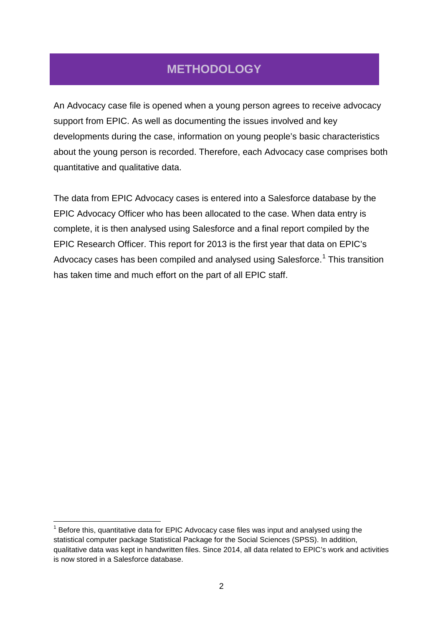## <span id="page-4-0"></span>**METHODOLOGY**

An Advocacy case file is opened when a young person agrees to receive advocacy support from EPIC. As well as documenting the issues involved and key developments during the case, information on young people's basic characteristics about the young person is recorded. Therefore, each Advocacy case comprises both quantitative and qualitative data.

The data from EPIC Advocacy cases is entered into a Salesforce database by the EPIC Advocacy Officer who has been allocated to the case. When data entry is complete, it is then analysed using Salesforce and a final report compiled by the EPIC Research Officer. This report for 2013 is the first year that data on EPIC's Advocacy cases has been compiled and analysed using Salesforce.<sup>[1](#page-4-1)</sup> This transition has taken time and much effort on the part of all EPIC staff.

<span id="page-4-1"></span> $1$  Before this, quantitative data for EPIC Advocacy case files was input and analysed using the statistical computer package Statistical Package for the Social Sciences (SPSS). In addition, qualitative data was kept in handwritten files. Since 2014, all data related to EPIC's work and activities is now stored in a Salesforce database.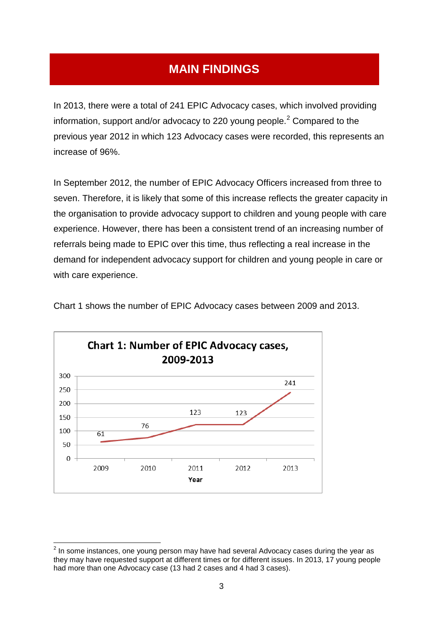## <span id="page-5-0"></span>**MAIN FINDINGS**

In 2013, there were a total of 241 EPIC Advocacy cases, which involved providing information, support and/or advocacy to [2](#page-5-1)20 young people.<sup>2</sup> Compared to the previous year 2012 in which 123 Advocacy cases were recorded, this represents an increase of 96%.

In September 2012, the number of EPIC Advocacy Officers increased from three to seven. Therefore, it is likely that some of this increase reflects the greater capacity in the organisation to provide advocacy support to children and young people with care experience. However, there has been a consistent trend of an increasing number of referrals being made to EPIC over this time, thus reflecting a real increase in the demand for independent advocacy support for children and young people in care or with care experience.



Chart 1 shows the number of EPIC Advocacy cases between 2009 and 2013.

<span id="page-5-1"></span> $2$  In some instances, one young person may have had several Advocacy cases during the year as they may have requested support at different times or for different issues. In 2013, 17 young people had more than one Advocacy case (13 had 2 cases and 4 had 3 cases).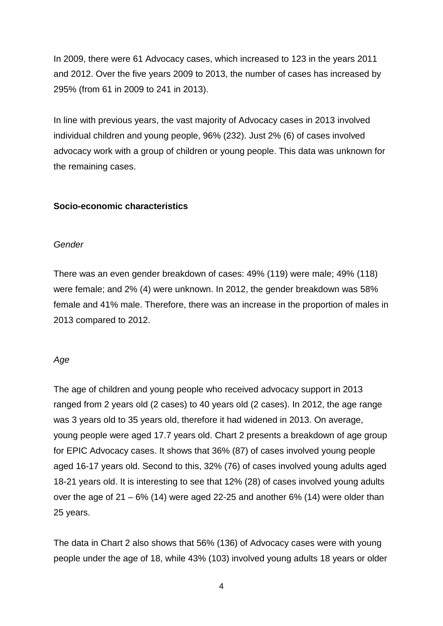In 2009, there were 61 Advocacy cases, which increased to 123 in the years 2011 and 2012. Over the five years 2009 to 2013, the number of cases has increased by 295% (from 61 in 2009 to 241 in 2013).

In line with previous years, the vast majority of Advocacy cases in 2013 involved individual children and young people, 96% (232). Just 2% (6) of cases involved advocacy work with a group of children or young people. This data was unknown for the remaining cases.

#### <span id="page-6-0"></span>**Socio-economic characteristics**

#### <span id="page-6-1"></span>*Gender*

There was an even gender breakdown of cases: 49% (119) were male; 49% (118) were female; and 2% (4) were unknown. In 2012, the gender breakdown was 58% female and 41% male. Therefore, there was an increase in the proportion of males in 2013 compared to 2012.

#### <span id="page-6-2"></span>*Age*

The age of children and young people who received advocacy support in 2013 ranged from 2 years old (2 cases) to 40 years old (2 cases). In 2012, the age range was 3 years old to 35 years old, therefore it had widened in 2013. On average, young people were aged 17.7 years old. Chart 2 presents a breakdown of age group for EPIC Advocacy cases. It shows that 36% (87) of cases involved young people aged 16-17 years old. Second to this, 32% (76) of cases involved young adults aged 18-21 years old. It is interesting to see that 12% (28) of cases involved young adults over the age of  $21 - 6\%$  (14) were aged 22-25 and another  $6\%$  (14) were older than 25 years.

The data in Chart 2 also shows that 56% (136) of Advocacy cases were with young people under the age of 18, while 43% (103) involved young adults 18 years or older

4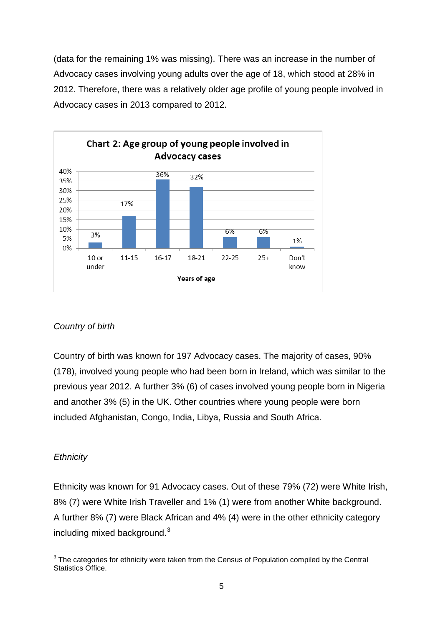(data for the remaining 1% was missing). There was an increase in the number of Advocacy cases involving young adults over the age of 18, which stood at 28% in 2012. Therefore, there was a relatively older age profile of young people involved in Advocacy cases in 2013 compared to 2012.



#### <span id="page-7-0"></span>*Country of birth*

Country of birth was known for 197 Advocacy cases. The majority of cases, 90% (178), involved young people who had been born in Ireland, which was similar to the previous year 2012. A further 3% (6) of cases involved young people born in Nigeria and another 3% (5) in the UK. Other countries where young people were born included Afghanistan, Congo, India, Libya, Russia and South Africa.

#### <span id="page-7-1"></span>*Ethnicity*

Ethnicity was known for 91 Advocacy cases. Out of these 79% (72) were White Irish, 8% (7) were White Irish Traveller and 1% (1) were from another White background. A further 8% (7) were Black African and 4% (4) were in the other ethnicity category including mixed background. $3$ 

<span id="page-7-2"></span> $3$  The categories for ethnicity were taken from the Census of Population compiled by the Central Statistics Office.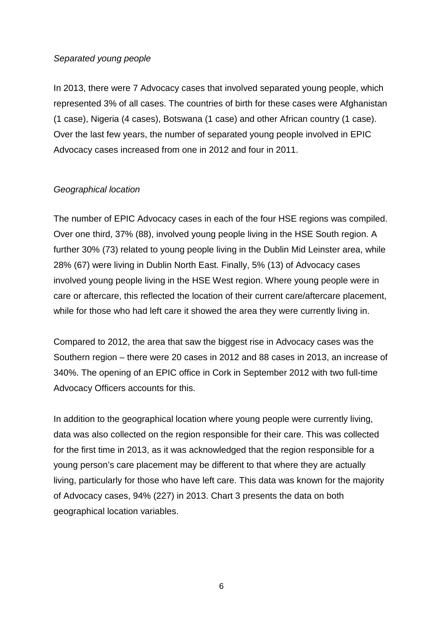#### <span id="page-8-0"></span>*Separated young people*

In 2013, there were 7 Advocacy cases that involved separated young people, which represented 3% of all cases. The countries of birth for these cases were Afghanistan (1 case), Nigeria (4 cases), Botswana (1 case) and other African country (1 case). Over the last few years, the number of separated young people involved in EPIC Advocacy cases increased from one in 2012 and four in 2011.

#### <span id="page-8-1"></span>*Geographical location*

The number of EPIC Advocacy cases in each of the four HSE regions was compiled. Over one third, 37% (88), involved young people living in the HSE South region. A further 30% (73) related to young people living in the Dublin Mid Leinster area, while 28% (67) were living in Dublin North East. Finally, 5% (13) of Advocacy cases involved young people living in the HSE West region. Where young people were in care or aftercare, this reflected the location of their current care/aftercare placement, while for those who had left care it showed the area they were currently living in.

Compared to 2012, the area that saw the biggest rise in Advocacy cases was the Southern region – there were 20 cases in 2012 and 88 cases in 2013, an increase of 340%. The opening of an EPIC office in Cork in September 2012 with two full-time Advocacy Officers accounts for this.

In addition to the geographical location where young people were currently living, data was also collected on the region responsible for their care. This was collected for the first time in 2013, as it was acknowledged that the region responsible for a young person's care placement may be different to that where they are actually living, particularly for those who have left care. This data was known for the majority of Advocacy cases, 94% (227) in 2013. Chart 3 presents the data on both geographical location variables.

6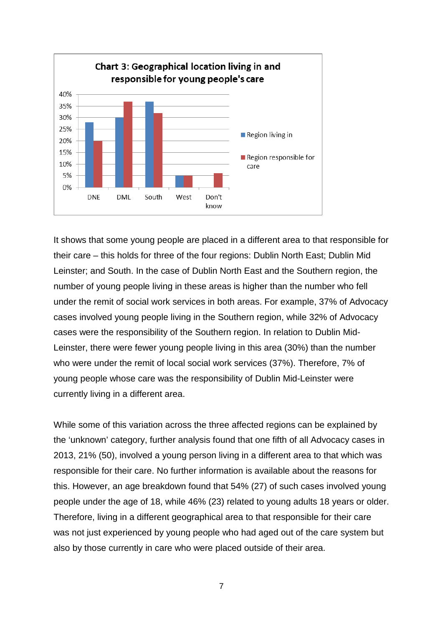

It shows that some young people are placed in a different area to that responsible for their care – this holds for three of the four regions: Dublin North East; Dublin Mid Leinster; and South. In the case of Dublin North East and the Southern region, the number of young people living in these areas is higher than the number who fell under the remit of social work services in both areas. For example, 37% of Advocacy cases involved young people living in the Southern region, while 32% of Advocacy cases were the responsibility of the Southern region. In relation to Dublin Mid-Leinster, there were fewer young people living in this area (30%) than the number who were under the remit of local social work services (37%). Therefore, 7% of young people whose care was the responsibility of Dublin Mid-Leinster were currently living in a different area.

While some of this variation across the three affected regions can be explained by the 'unknown' category, further analysis found that one fifth of all Advocacy cases in 2013, 21% (50), involved a young person living in a different area to that which was responsible for their care. No further information is available about the reasons for this. However, an age breakdown found that 54% (27) of such cases involved young people under the age of 18, while 46% (23) related to young adults 18 years or older. Therefore, living in a different geographical area to that responsible for their care was not just experienced by young people who had aged out of the care system but also by those currently in care who were placed outside of their area.

7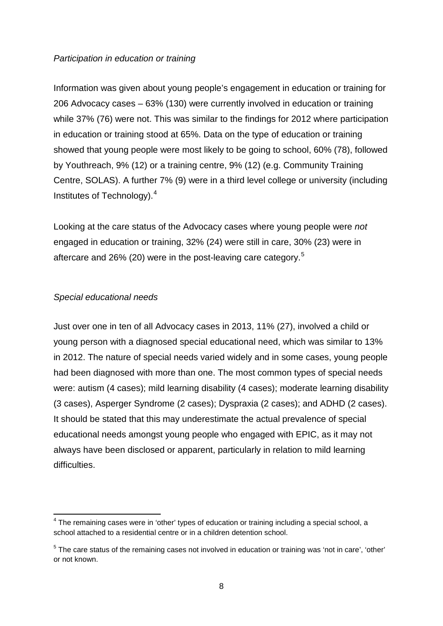#### <span id="page-10-0"></span>*Participation in education or training*

Information was given about young people's engagement in education or training for 206 Advocacy cases – 63% (130) were currently involved in education or training while 37% (76) were not. This was similar to the findings for 2012 where participation in education or training stood at 65%. Data on the type of education or training showed that young people were most likely to be going to school, 60% (78), followed by Youthreach, 9% (12) or a training centre, 9% (12) (e.g. Community Training Centre, SOLAS). A further 7% (9) were in a third level college or university (including Institutes of Technology).[4](#page-10-2)

Looking at the care status of the Advocacy cases where young people were *not* engaged in education or training, 32% (24) were still in care, 30% (23) were in aftercare and 26% (20) were in the post-leaving care category.<sup>[5](#page-10-3)</sup>

#### <span id="page-10-1"></span>*Special educational needs*

Just over one in ten of all Advocacy cases in 2013, 11% (27), involved a child or young person with a diagnosed special educational need, which was similar to 13% in 2012. The nature of special needs varied widely and in some cases, young people had been diagnosed with more than one. The most common types of special needs were: autism (4 cases); mild learning disability (4 cases); moderate learning disability (3 cases), Asperger Syndrome (2 cases); Dyspraxia (2 cases); and ADHD (2 cases). It should be stated that this may underestimate the actual prevalence of special educational needs amongst young people who engaged with EPIC, as it may not always have been disclosed or apparent, particularly in relation to mild learning difficulties.

<span id="page-10-2"></span><sup>&</sup>lt;sup>4</sup> The remaining cases were in 'other' types of education or training including a special school, a school attached to a residential centre or in a children detention school.

<span id="page-10-3"></span> $5$  The care status of the remaining cases not involved in education or training was 'not in care', 'other' or not known.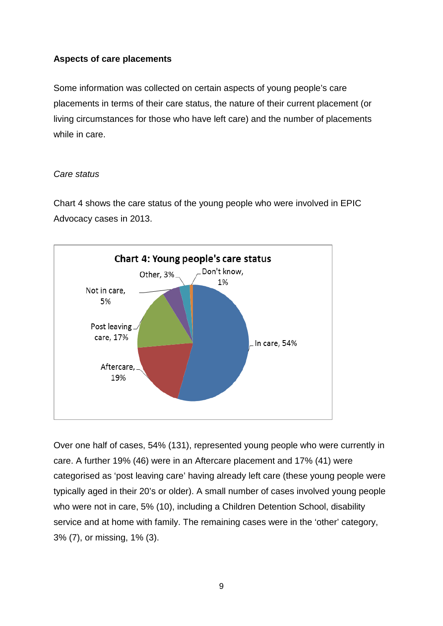#### <span id="page-11-0"></span>**Aspects of care placements**

Some information was collected on certain aspects of young people's care placements in terms of their care status, the nature of their current placement (or living circumstances for those who have left care) and the number of placements while in care.

#### <span id="page-11-1"></span>*Care status*

Chart 4 shows the care status of the young people who were involved in EPIC Advocacy cases in 2013.



Over one half of cases, 54% (131), represented young people who were currently in care. A further 19% (46) were in an Aftercare placement and 17% (41) were categorised as 'post leaving care' having already left care (these young people were typically aged in their 20's or older). A small number of cases involved young people who were not in care, 5% (10), including a Children Detention School, disability service and at home with family. The remaining cases were in the 'other' category, 3% (7), or missing, 1% (3).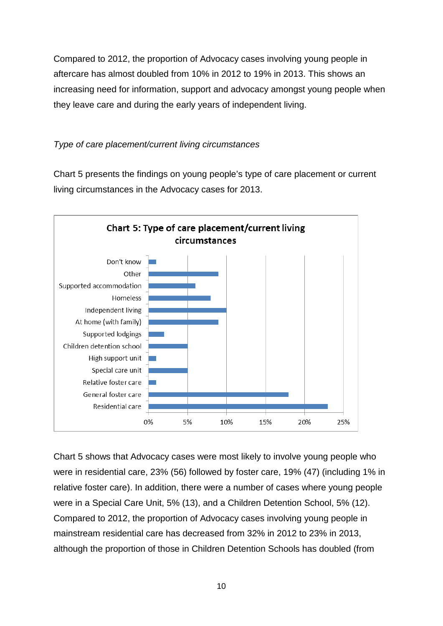Compared to 2012, the proportion of Advocacy cases involving young people in aftercare has almost doubled from 10% in 2012 to 19% in 2013. This shows an increasing need for information, support and advocacy amongst young people when they leave care and during the early years of independent living.

#### <span id="page-12-0"></span>*Type of care placement/current living circumstances*

Chart 5 presents the findings on young people's type of care placement or current living circumstances in the Advocacy cases for 2013.



Chart 5 shows that Advocacy cases were most likely to involve young people who were in residential care, 23% (56) followed by foster care, 19% (47) (including 1% in relative foster care). In addition, there were a number of cases where young people were in a Special Care Unit, 5% (13), and a Children Detention School, 5% (12). Compared to 2012, the proportion of Advocacy cases involving young people in mainstream residential care has decreased from 32% in 2012 to 23% in 2013, although the proportion of those in Children Detention Schools has doubled (from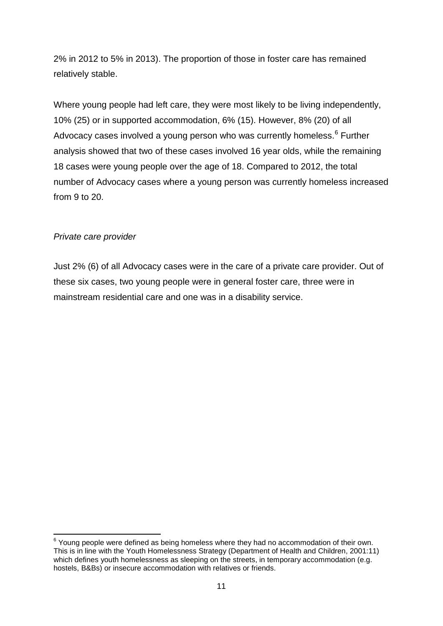2% in 2012 to 5% in 2013). The proportion of those in foster care has remained relatively stable.

Where young people had left care, they were most likely to be living independently, 10% (25) or in supported accommodation, 6% (15). However, 8% (20) of all Advocacy cases involved a young person who was currently homeless.<sup>[6](#page-13-1)</sup> Further analysis showed that two of these cases involved 16 year olds, while the remaining 18 cases were young people over the age of 18. Compared to 2012, the total number of Advocacy cases where a young person was currently homeless increased from 9 to 20.

#### <span id="page-13-0"></span>*Private care provider*

Just 2% (6) of all Advocacy cases were in the care of a private care provider. Out of these six cases, two young people were in general foster care, three were in mainstream residential care and one was in a disability service.

<span id="page-13-1"></span> $6$  Young people were defined as being homeless where they had no accommodation of their own. This is in line with the Youth Homelessness Strategy (Department of Health and Children, 2001:11) which defines youth homelessness as sleeping on the streets, in temporary accommodation (e.g. hostels, B&Bs) or insecure accommodation with relatives or friends.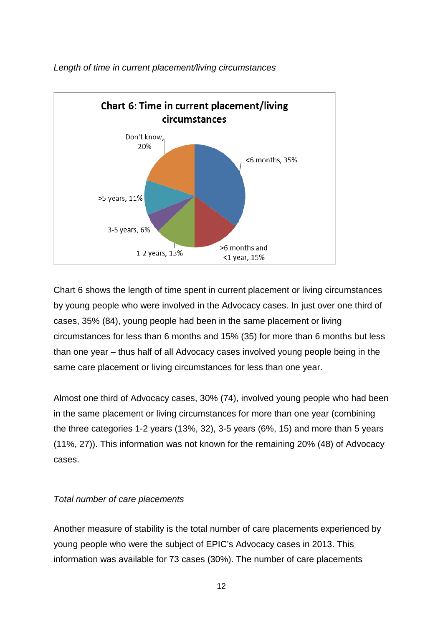

<span id="page-14-0"></span>*Length of time in current placement/living circumstances*

Chart 6 shows the length of time spent in current placement or living circumstances by young people who were involved in the Advocacy cases. In just over one third of cases, 35% (84), young people had been in the same placement or living circumstances for less than 6 months and 15% (35) for more than 6 months but less than one year – thus half of all Advocacy cases involved young people being in the same care placement or living circumstances for less than one year.

Almost one third of Advocacy cases, 30% (74), involved young people who had been in the same placement or living circumstances for more than one year (combining the three categories 1-2 years (13%, 32), 3-5 years (6%, 15) and more than 5 years (11%, 27)). This information was not known for the remaining 20% (48) of Advocacy cases.

#### <span id="page-14-1"></span>*Total number of care placements*

Another measure of stability is the total number of care placements experienced by young people who were the subject of EPIC's Advocacy cases in 2013. This information was available for 73 cases (30%). The number of care placements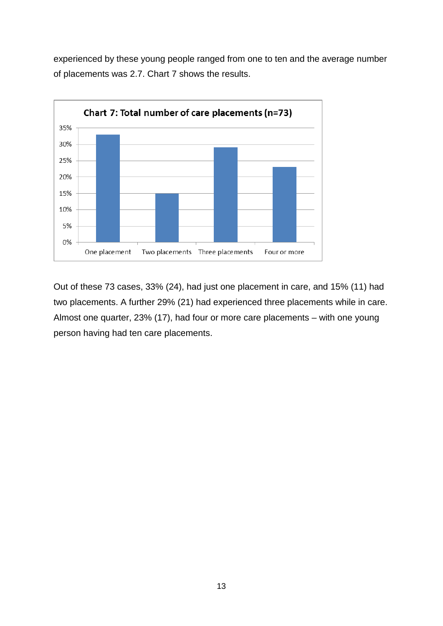experienced by these young people ranged from one to ten and the average number of placements was 2.7. Chart 7 shows the results.



<span id="page-15-0"></span>Out of these 73 cases, 33% (24), had just one placement in care, and 15% (11) had two placements. A further 29% (21) had experienced three placements while in care. Almost one quarter, 23% (17), had four or more care placements – with one young person having had ten care placements.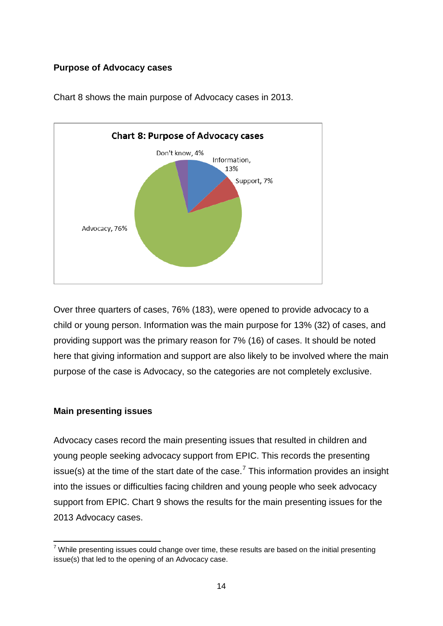#### **Purpose of Advocacy cases**



Chart 8 shows the main purpose of Advocacy cases in 2013.

Over three quarters of cases, 76% (183), were opened to provide advocacy to a child or young person. Information was the main purpose for 13% (32) of cases, and providing support was the primary reason for 7% (16) of cases. It should be noted here that giving information and support are also likely to be involved where the main purpose of the case is Advocacy, so the categories are not completely exclusive.

#### <span id="page-16-0"></span>**Main presenting issues**

Advocacy cases record the main presenting issues that resulted in children and young people seeking advocacy support from EPIC. This records the presenting issue(s) at the time of the start date of the case.<sup>[7](#page-16-1)</sup> This information provides an insight into the issues or difficulties facing children and young people who seek advocacy support from EPIC. Chart 9 shows the results for the main presenting issues for the 2013 Advocacy cases.

<span id="page-16-1"></span> $7$  While presenting issues could change over time, these results are based on the initial presenting issue(s) that led to the opening of an Advocacy case.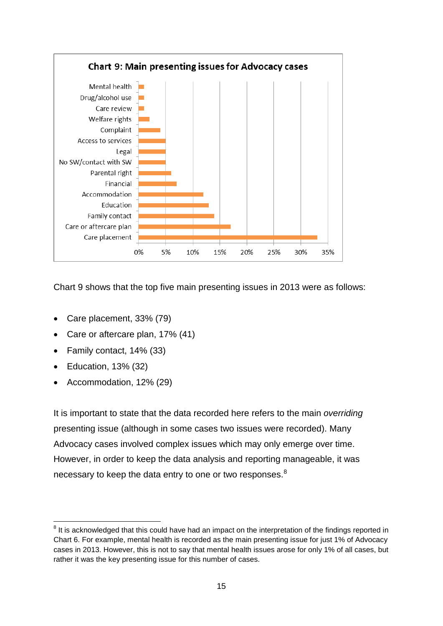

Chart 9 shows that the top five main presenting issues in 2013 were as follows:

- Care placement, 33% (79)
- Care or aftercare plan, 17% (41)
- Family contact, 14% (33)
- Education, 13% (32)
- Accommodation, 12% (29)

It is important to state that the data recorded here refers to the main *overriding*  presenting issue (although in some cases two issues were recorded). Many Advocacy cases involved complex issues which may only emerge over time. However, in order to keep the data analysis and reporting manageable, it was necessary to keep the data entry to one or two responses.<sup>[8](#page-17-0)</sup>

<span id="page-17-0"></span> $8$  It is acknowledged that this could have had an impact on the interpretation of the findings reported in Chart 6. For example, mental health is recorded as the main presenting issue for just 1% of Advocacy cases in 2013. However, this is not to say that mental health issues arose for only 1% of all cases, but rather it was the key presenting issue for this number of cases.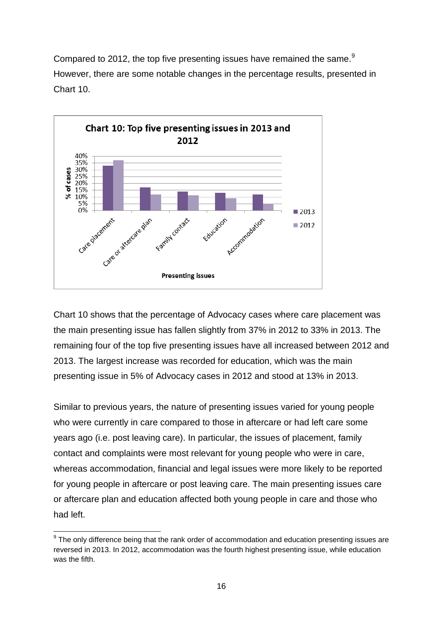Compared to 2012, the top five presenting issues have remained the same.<sup>[9](#page-18-0)</sup> However, there are some notable changes in the percentage results, presented in Chart 10.



Chart 10 shows that the percentage of Advocacy cases where care placement was the main presenting issue has fallen slightly from 37% in 2012 to 33% in 2013. The remaining four of the top five presenting issues have all increased between 2012 and 2013. The largest increase was recorded for education, which was the main presenting issue in 5% of Advocacy cases in 2012 and stood at 13% in 2013.

Similar to previous years, the nature of presenting issues varied for young people who were currently in care compared to those in aftercare or had left care some years ago (i.e. post leaving care). In particular, the issues of placement, family contact and complaints were most relevant for young people who were in care, whereas accommodation, financial and legal issues were more likely to be reported for young people in aftercare or post leaving care. The main presenting issues care or aftercare plan and education affected both young people in care and those who had left.

<span id="page-18-0"></span><sup>&</sup>lt;sup>9</sup> The only difference being that the rank order of accommodation and education presenting issues are reversed in 2013. In 2012, accommodation was the fourth highest presenting issue, while education was the fifth.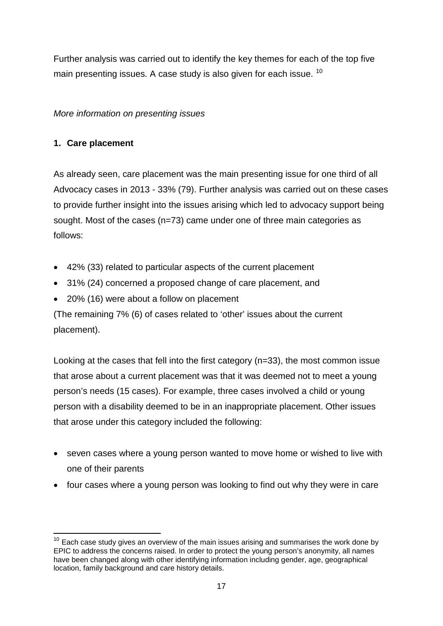Further analysis was carried out to identify the key themes for each of the top five main presenting issues. A case study is also given for each issue. <sup>[10](#page-19-1)</sup>

#### <span id="page-19-0"></span>*More information on presenting issues*

#### **1. Care placement**

**.** 

As already seen, care placement was the main presenting issue for one third of all Advocacy cases in 2013 - 33% (79). Further analysis was carried out on these cases to provide further insight into the issues arising which led to advocacy support being sought. Most of the cases (n=73) came under one of three main categories as follows:

- 42% (33) related to particular aspects of the current placement
- 31% (24) concerned a proposed change of care placement, and
- 20% (16) were about a follow on placement

(The remaining 7% (6) of cases related to 'other' issues about the current placement).

Looking at the cases that fell into the first category (n=33), the most common issue that arose about a current placement was that it was deemed not to meet a young person's needs (15 cases). For example, three cases involved a child or young person with a disability deemed to be in an inappropriate placement. Other issues that arose under this category included the following:

- seven cases where a young person wanted to move home or wished to live with one of their parents
- four cases where a young person was looking to find out why they were in care

<span id="page-19-1"></span> $10$  Each case study gives an overview of the main issues arising and summarises the work done by EPIC to address the concerns raised. In order to protect the young person's anonymity, all names have been changed along with other identifying information including gender, age, geographical location, family background and care history details.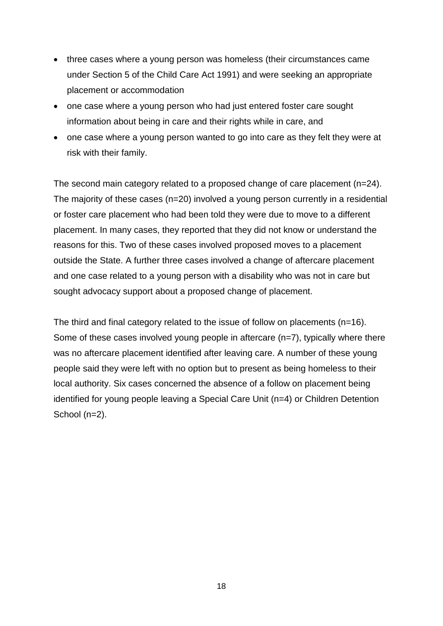- three cases where a young person was homeless (their circumstances came under Section 5 of the Child Care Act 1991) and were seeking an appropriate placement or accommodation
- one case where a young person who had just entered foster care sought information about being in care and their rights while in care, and
- one case where a young person wanted to go into care as they felt they were at risk with their family.

The second main category related to a proposed change of care placement (n=24). The majority of these cases (n=20) involved a young person currently in a residential or foster care placement who had been told they were due to move to a different placement. In many cases, they reported that they did not know or understand the reasons for this. Two of these cases involved proposed moves to a placement outside the State. A further three cases involved a change of aftercare placement and one case related to a young person with a disability who was not in care but sought advocacy support about a proposed change of placement.

The third and final category related to the issue of follow on placements (n=16). Some of these cases involved young people in aftercare (n=7), typically where there was no aftercare placement identified after leaving care. A number of these young people said they were left with no option but to present as being homeless to their local authority. Six cases concerned the absence of a follow on placement being identified for young people leaving a Special Care Unit (n=4) or Children Detention School (n=2).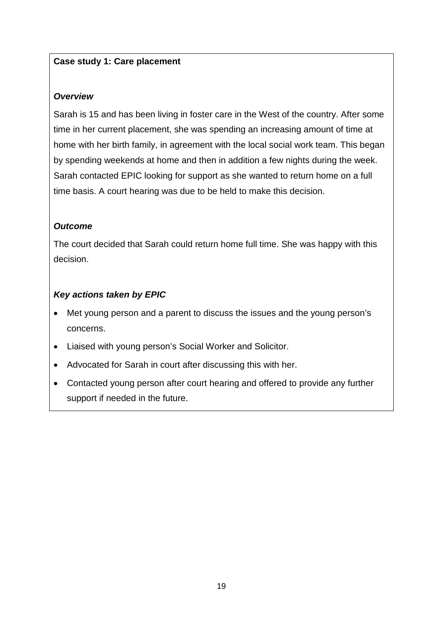#### **Case study 1: Care placement**

#### *Overview*

Sarah is 15 and has been living in foster care in the West of the country. After some time in her current placement, she was spending an increasing amount of time at home with her birth family, in agreement with the local social work team. This began by spending weekends at home and then in addition a few nights during the week. Sarah contacted EPIC looking for support as she wanted to return home on a full time basis. A court hearing was due to be held to make this decision.

#### *Outcome*

The court decided that Sarah could return home full time. She was happy with this decision.

- Met young person and a parent to discuss the issues and the young person's concerns.
- Liaised with young person's Social Worker and Solicitor.
- Advocated for Sarah in court after discussing this with her.
- Contacted young person after court hearing and offered to provide any further support if needed in the future.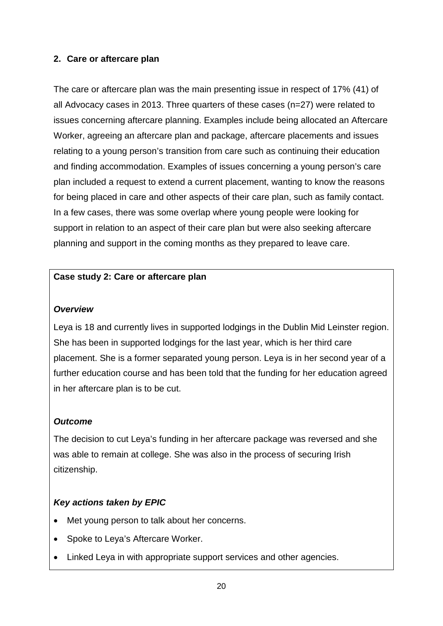#### **2. Care or aftercare plan**

The care or aftercare plan was the main presenting issue in respect of 17% (41) of all Advocacy cases in 2013. Three quarters of these cases (n=27) were related to issues concerning aftercare planning. Examples include being allocated an Aftercare Worker, agreeing an aftercare plan and package, aftercare placements and issues relating to a young person's transition from care such as continuing their education and finding accommodation. Examples of issues concerning a young person's care plan included a request to extend a current placement, wanting to know the reasons for being placed in care and other aspects of their care plan, such as family contact. In a few cases, there was some overlap where young people were looking for support in relation to an aspect of their care plan but were also seeking aftercare planning and support in the coming months as they prepared to leave care.

#### **Case study 2: Care or aftercare plan**

#### *Overview*

Leya is 18 and currently lives in supported lodgings in the Dublin Mid Leinster region. She has been in supported lodgings for the last year, which is her third care placement. She is a former separated young person. Leya is in her second year of a further education course and has been told that the funding for her education agreed in her aftercare plan is to be cut.

#### *Outcome*

The decision to cut Leya's funding in her aftercare package was reversed and she was able to remain at college. She was also in the process of securing Irish citizenship.

- Met young person to talk about her concerns.
- Spoke to Leya's Aftercare Worker.
- Linked Leya in with appropriate support services and other agencies.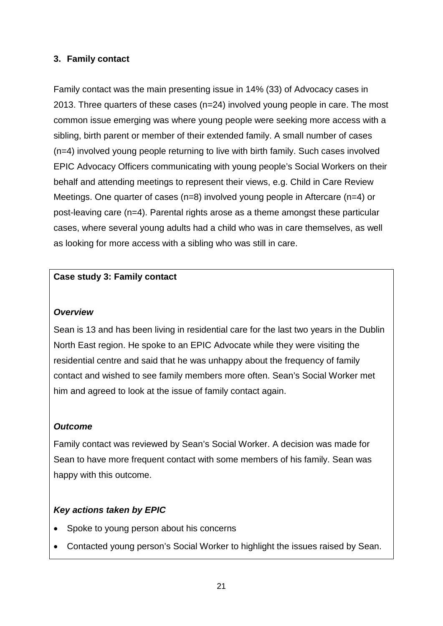#### **3. Family contact**

Family contact was the main presenting issue in 14% (33) of Advocacy cases in 2013. Three quarters of these cases (n=24) involved young people in care. The most common issue emerging was where young people were seeking more access with a sibling, birth parent or member of their extended family. A small number of cases (n=4) involved young people returning to live with birth family. Such cases involved EPIC Advocacy Officers communicating with young people's Social Workers on their behalf and attending meetings to represent their views, e.g. Child in Care Review Meetings. One quarter of cases (n=8) involved young people in Aftercare (n=4) or post-leaving care (n=4). Parental rights arose as a theme amongst these particular cases, where several young adults had a child who was in care themselves, as well as looking for more access with a sibling who was still in care.

#### **Case study 3: Family contact**

#### *Overview*

Sean is 13 and has been living in residential care for the last two years in the Dublin North East region. He spoke to an EPIC Advocate while they were visiting the residential centre and said that he was unhappy about the frequency of family contact and wished to see family members more often. Sean's Social Worker met him and agreed to look at the issue of family contact again.

#### *Outcome*

Family contact was reviewed by Sean's Social Worker. A decision was made for Sean to have more frequent contact with some members of his family. Sean was happy with this outcome.

- Spoke to young person about his concerns
- Contacted young person's Social Worker to highlight the issues raised by Sean.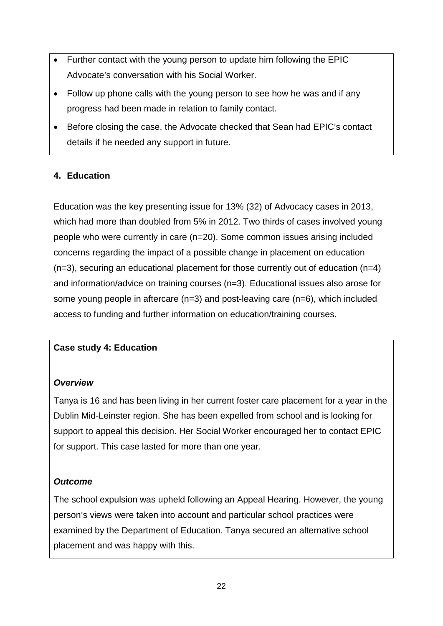- Further contact with the young person to update him following the EPIC Advocate's conversation with his Social Worker.
- Follow up phone calls with the young person to see how he was and if any progress had been made in relation to family contact.
- Before closing the case, the Advocate checked that Sean had EPIC's contact details if he needed any support in future.

#### **4. Education**

Education was the key presenting issue for 13% (32) of Advocacy cases in 2013, which had more than doubled from 5% in 2012. Two thirds of cases involved young people who were currently in care (n=20). Some common issues arising included concerns regarding the impact of a possible change in placement on education (n=3), securing an educational placement for those currently out of education (n=4) and information/advice on training courses (n=3). Educational issues also arose for some young people in aftercare (n=3) and post-leaving care (n=6), which included access to funding and further information on education/training courses.

#### **Case study 4: Education**

#### *Overview*

Tanya is 16 and has been living in her current foster care placement for a year in the Dublin Mid-Leinster region. She has been expelled from school and is looking for support to appeal this decision. Her Social Worker encouraged her to contact EPIC for support. This case lasted for more than one year.

#### *Outcome*

The school expulsion was upheld following an Appeal Hearing. However, the young person's views were taken into account and particular school practices were examined by the Department of Education. Tanya secured an alternative school placement and was happy with this.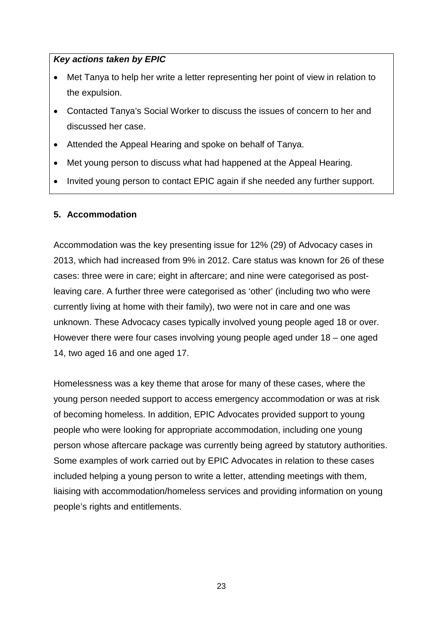#### *Key actions taken by EPIC*

- Met Tanya to help her write a letter representing her point of view in relation to the expulsion.
- Contacted Tanya's Social Worker to discuss the issues of concern to her and discussed her case.
- Attended the Appeal Hearing and spoke on behalf of Tanya.
- Met young person to discuss what had happened at the Appeal Hearing.
- Invited young person to contact EPIC again if she needed any further support.

#### **5. Accommodation**

Accommodation was the key presenting issue for 12% (29) of Advocacy cases in 2013, which had increased from 9% in 2012. Care status was known for 26 of these cases: three were in care; eight in aftercare; and nine were categorised as postleaving care. A further three were categorised as 'other' (including two who were currently living at home with their family), two were not in care and one was unknown. These Advocacy cases typically involved young people aged 18 or over. However there were four cases involving young people aged under 18 – one aged 14, two aged 16 and one aged 17.

Homelessness was a key theme that arose for many of these cases, where the young person needed support to access emergency accommodation or was at risk of becoming homeless. In addition, EPIC Advocates provided support to young people who were looking for appropriate accommodation, including one young person whose aftercare package was currently being agreed by statutory authorities. Some examples of work carried out by EPIC Advocates in relation to these cases included helping a young person to write a letter, attending meetings with them, liaising with accommodation/homeless services and providing information on young people's rights and entitlements.

23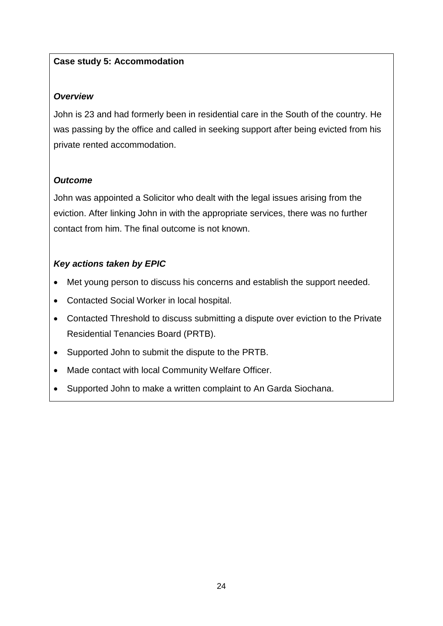#### **Case study 5: Accommodation**

#### *Overview*

John is 23 and had formerly been in residential care in the South of the country. He was passing by the office and called in seeking support after being evicted from his private rented accommodation.

#### *Outcome*

John was appointed a Solicitor who dealt with the legal issues arising from the eviction. After linking John in with the appropriate services, there was no further contact from him. The final outcome is not known.

- Met young person to discuss his concerns and establish the support needed.
- Contacted Social Worker in local hospital.
- Contacted Threshold to discuss submitting a dispute over eviction to the Private Residential Tenancies Board (PRTB).
- Supported John to submit the dispute to the PRTB.
- Made contact with local Community Welfare Officer.
- <span id="page-26-0"></span>• Supported John to make a written complaint to An Garda Siochana.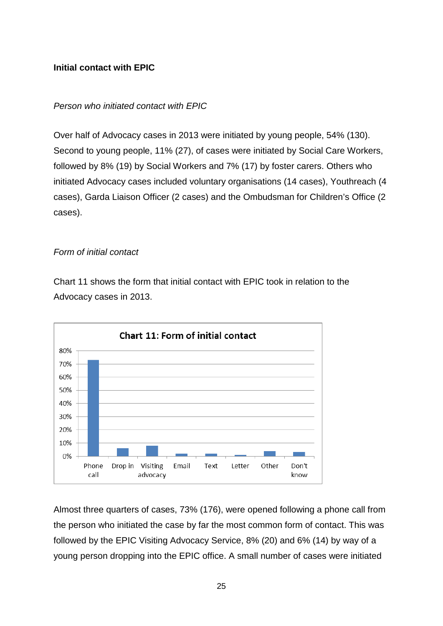#### **Initial contact with EPIC**

#### <span id="page-27-0"></span>*Person who initiated contact with EPIC*

Over half of Advocacy cases in 2013 were initiated by young people, 54% (130). Second to young people, 11% (27), of cases were initiated by Social Care Workers, followed by 8% (19) by Social Workers and 7% (17) by foster carers. Others who initiated Advocacy cases included voluntary organisations (14 cases), Youthreach (4 cases), Garda Liaison Officer (2 cases) and the Ombudsman for Children's Office (2 cases).

#### <span id="page-27-1"></span>*Form of initial contact*

Chart 11 shows the form that initial contact with EPIC took in relation to the Advocacy cases in 2013.



Almost three quarters of cases, 73% (176), were opened following a phone call from the person who initiated the case by far the most common form of contact. This was followed by the EPIC Visiting Advocacy Service, 8% (20) and 6% (14) by way of a young person dropping into the EPIC office. A small number of cases were initiated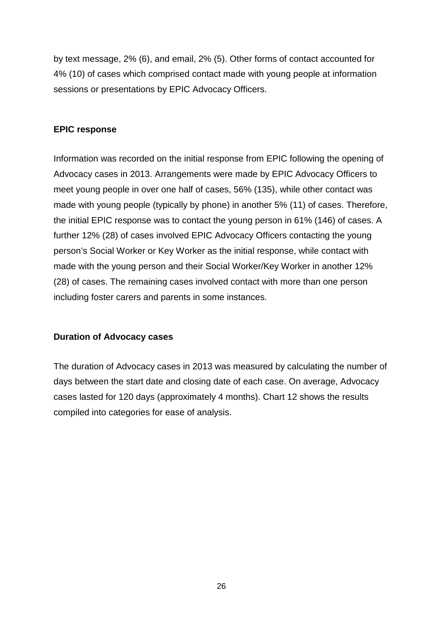by text message, 2% (6), and email, 2% (5). Other forms of contact accounted for 4% (10) of cases which comprised contact made with young people at information sessions or presentations by EPIC Advocacy Officers.

#### <span id="page-28-0"></span>**EPIC response**

Information was recorded on the initial response from EPIC following the opening of Advocacy cases in 2013. Arrangements were made by EPIC Advocacy Officers to meet young people in over one half of cases, 56% (135), while other contact was made with young people (typically by phone) in another 5% (11) of cases. Therefore, the initial EPIC response was to contact the young person in 61% (146) of cases. A further 12% (28) of cases involved EPIC Advocacy Officers contacting the young person's Social Worker or Key Worker as the initial response, while contact with made with the young person and their Social Worker/Key Worker in another 12% (28) of cases. The remaining cases involved contact with more than one person including foster carers and parents in some instances.

#### <span id="page-28-1"></span>**Duration of Advocacy cases**

The duration of Advocacy cases in 2013 was measured by calculating the number of days between the start date and closing date of each case. On average, Advocacy cases lasted for 120 days (approximately 4 months). Chart 12 shows the results compiled into categories for ease of analysis.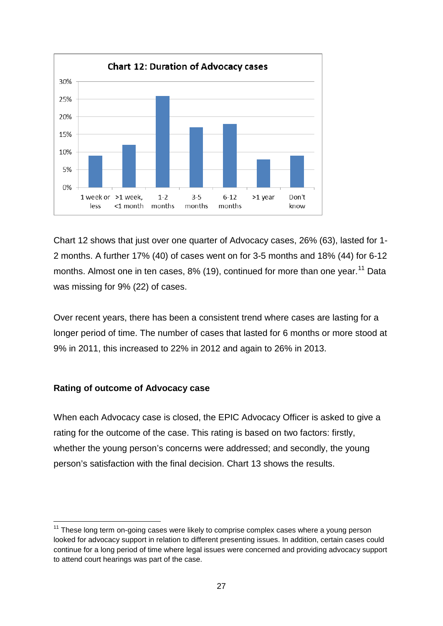

Chart 12 shows that just over one quarter of Advocacy cases, 26% (63), lasted for 1- 2 months. A further 17% (40) of cases went on for 3-5 months and 18% (44) for 6-12 months. Almost one in ten cases, 8% (19), continued for more than one year.<sup>[11](#page-29-1)</sup> Data was missing for 9% (22) of cases.

Over recent years, there has been a consistent trend where cases are lasting for a longer period of time. The number of cases that lasted for 6 months or more stood at 9% in 2011, this increased to 22% in 2012 and again to 26% in 2013.

#### <span id="page-29-0"></span>**Rating of outcome of Advocacy case**

When each Advocacy case is closed, the EPIC Advocacy Officer is asked to give a rating for the outcome of the case. This rating is based on two factors: firstly, whether the young person's concerns were addressed; and secondly, the young person's satisfaction with the final decision. Chart 13 shows the results.

<span id="page-29-1"></span> $11$  These long term on-going cases were likely to comprise complex cases where a young person looked for advocacy support in relation to different presenting issues. In addition, certain cases could continue for a long period of time where legal issues were concerned and providing advocacy support to attend court hearings was part of the case.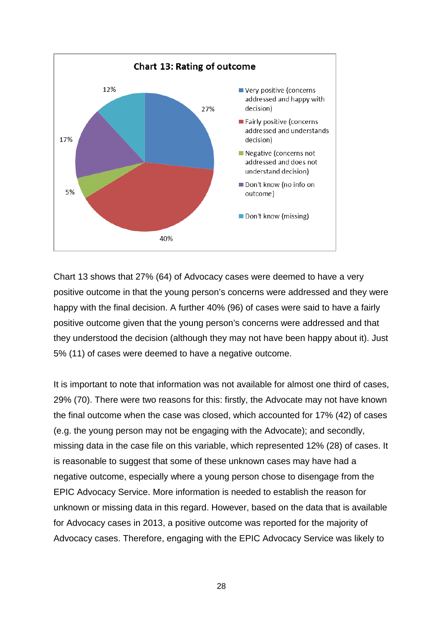

Chart 13 shows that 27% (64) of Advocacy cases were deemed to have a very positive outcome in that the young person's concerns were addressed and they were happy with the final decision. A further 40% (96) of cases were said to have a fairly positive outcome given that the young person's concerns were addressed and that they understood the decision (although they may not have been happy about it). Just 5% (11) of cases were deemed to have a negative outcome.

It is important to note that information was not available for almost one third of cases, 29% (70). There were two reasons for this: firstly, the Advocate may not have known the final outcome when the case was closed, which accounted for 17% (42) of cases (e.g. the young person may not be engaging with the Advocate); and secondly, missing data in the case file on this variable, which represented 12% (28) of cases. It is reasonable to suggest that some of these unknown cases may have had a negative outcome, especially where a young person chose to disengage from the EPIC Advocacy Service. More information is needed to establish the reason for unknown or missing data in this regard. However, based on the data that is available for Advocacy cases in 2013, a positive outcome was reported for the majority of Advocacy cases. Therefore, engaging with the EPIC Advocacy Service was likely to